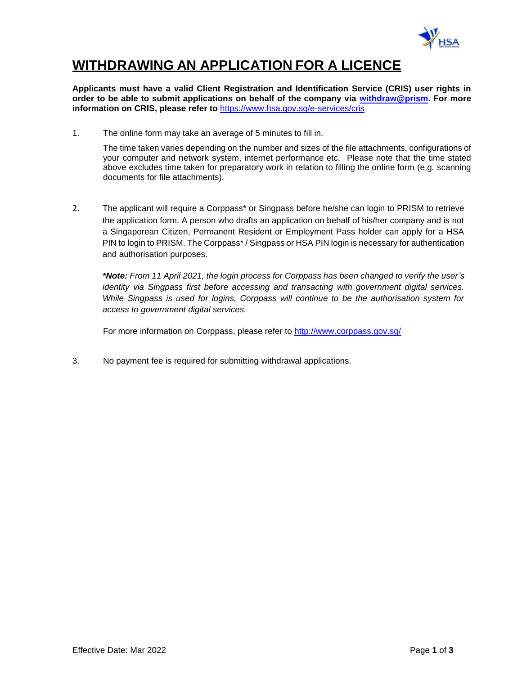

# **WITHDRAWING AN APPLICATION FOR A LICENCE**

**Applicants must have a valid Client Registration and Identification Service (CRIS) user rights in order to be able to submit applications on behalf of the company via [withdraw@prism.](http://eservice.hsa.gov.sg/osc/portal/jsp/AA/process.jsp?eService=WTH) For more information on CRIS, please refer to** <https://www.hsa.gov.sg/e-services/cris>

1. The online form may take an average of 5 minutes to fill in.

The time taken varies depending on the number and sizes of the file attachments, configurations of your computer and network system, internet performance etc. Please note that the time stated above excludes time taken for preparatory work in relation to filling the online form (e.g. scanning documents for file attachments).

2. The applicant will require a Corppass<sup>\*</sup> or Singpass before he/she can login to PRISM to retrieve the application form. A person who drafts an application on behalf of his/her company and is not a Singaporean Citizen, Permanent Resident or Employment Pass holder can apply for a HSA PIN to login to PRISM. The Corppass\* / Singpass or HSA PIN login is necessary for authentication and authorisation purposes.

*\*Note: From 11 April 2021, the login process for Corppass has been changed to verify the user's identity via Singpass first before accessing and transacting with government digital services. While Singpass is used for logins, Corppass will continue to be the authorisation system for access to government digital services.*

For more information on Corppass, please refer to<http://www.corppass.gov.sg/>

3. No payment fee is required for submitting withdrawal applications.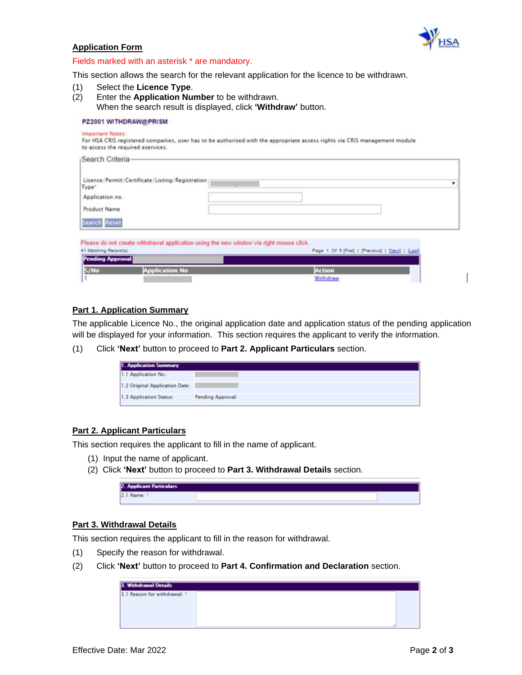

### **Application Form**

#### Fields marked with an asterisk \* are mandatory.

This section allows the search for the relevant application for the licence to be withdrawn.

(1) Select the **Licence Type**. (2) Enter the **Application Number** to be withdrawn. When the search result is displayed, click **'Withdraw'** button.

#### PZ2001 WITHDRAW@PRISM

#### **Important Notes:**

Coarch Critaria

For HSA CRIS registered companies, user has to be authorised with the appropriate access rights via CRIS management module to access the required eservices.

| Licence / Permit / Certificate / Listing / Registration /<br>Type <sup>*</sup>          |                                                    | ۰ |
|-----------------------------------------------------------------------------------------|----------------------------------------------------|---|
| Application no.                                                                         |                                                    |   |
| Product Name                                                                            |                                                    |   |
| Search Reset                                                                            |                                                    |   |
| Please do not create withdrawal application using the new window via right mouse click. |                                                    |   |
|                                                                                         | Page 1 Of 5 [First]   [Previous]   [Next]   [Last] |   |
|                                                                                         |                                                    |   |
|                                                                                         |                                                    |   |
| 41 Matching Record(s)<br><b>Pending Approval</b><br>S/No<br><b>Application No</b>       | Action                                             |   |

## **Part 1. Application Summary**

The applicable Licence No., the original application date and application status of the pending application will be displayed for your information. This section requires the applicant to verify the information.

(1) Click **'Next'** button to proceed to **Part 2. Applicant Particulars** section.

| <b>1. Application Summary</b>  |                         |
|--------------------------------|-------------------------|
| 1.1 Application No.:           |                         |
| 1.2 Original Application Date: |                         |
| 1.3 Application Status:        | <b>Pending Approval</b> |

#### **Part 2. Applicant Particulars**

This section requires the applicant to fill in the name of applicant.

- (1) Input the name of applicant.
- (2) Click **'Next'** button to proceed to **Part 3. Withdrawal Details** section.

| <b>2. Applicant Particulars</b> |  |  |
|---------------------------------|--|--|
|                                 |  |  |

### **Part 3. Withdrawal Details**

This section requires the applicant to fill in the reason for withdrawal.

- (1) Specify the reason for withdrawal.
- (2) Click **'Next'** button to proceed to **Part 4. Confirmation and Declaration** section.

| <b>3. Withdrawal Details</b> |  |
|------------------------------|--|
| 3.1 Reason for withdrawal: * |  |
|                              |  |
|                              |  |
|                              |  |